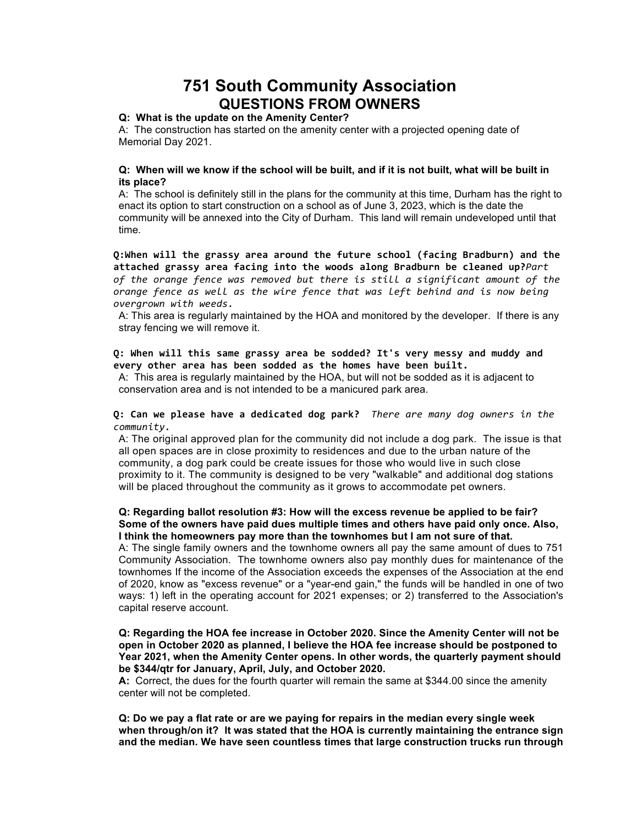# **751 South Community Association QUESTIONS FROM OWNERS**

## **Q: What is the update on the Amenity Center?**

A: The construction has started on the amenity center with a projected opening date of Memorial Day 2021.

## **Q: When will we know if the school will be built, and if it is not built, what will be built in its place?**

A: The school is definitely still in the plans for the community at this time, Durham has the right to enact its option to start construction on a school as of June 3, 2023, which is the date the community will be annexed into the City of Durham. This land will remain undeveloped until that time.

Q:When will the grassy area around the future school (facing Bradburn) and the attached grassy area facing into the woods along Bradburn be cleaned up?*Part* of the orange fence was removed but there is still a significant amount of the *orange fence as well as the wire fence that was left behind and is now being overgrown with weeds.*

A: This area is regularly maintained by the HOA and monitored by the developer. If there is any stray fencing we will remove it.

# Q: When will this same grassy area be sodded? It's very messy and muddy and every other area has been sodded as the homes have been built.

A: This area is regularly maintained by the HOA, but will not be sodded as it is adjacent to conservation area and is not intended to be a manicured park area.

## **Q:** Can we please have a dedicated dog park? *There are many dog owners in the community.*

A: The original approved plan for the community did not include a dog park. The issue is that all open spaces are in close proximity to residences and due to the urban nature of the community, a dog park could be create issues for those who would live in such close proximity to it. The community is designed to be very "walkable" and additional dog stations will be placed throughout the community as it grows to accommodate pet owners.

## **Q: Regarding ballot resolution #3: How will the excess revenue be applied to be fair? Some of the owners have paid dues multiple times and others have paid only once. Also, I think the homeowners pay more than the townhomes but I am not sure of that.**

A: The single family owners and the townhome owners all pay the same amount of dues to 751 Community Association. The townhome owners also pay monthly dues for maintenance of the townhomes If the income of the Association exceeds the expenses of the Association at the end of 2020, know as "excess revenue" or a "year-end gain," the funds will be handled in one of two ways: 1) left in the operating account for 2021 expenses; or 2) transferred to the Association's capital reserve account.

## **Q: Regarding the HOA fee increase in October 2020. Since the Amenity Center will not be open in October 2020 as planned, I believe the HOA fee increase should be postponed to Year 2021, when the Amenity Center opens. In other words, the quarterly payment should be \$344/qtr for January, April, July, and October 2020.**

**A:** Correct, the dues for the fourth quarter will remain the same at \$344.00 since the amenity center will not be completed.

**Q: Do we pay a flat rate or are we paying for repairs in the median every single week when through/on it? It was stated that the HOA is currently maintaining the entrance sign and the median. We have seen countless times that large construction trucks run through**